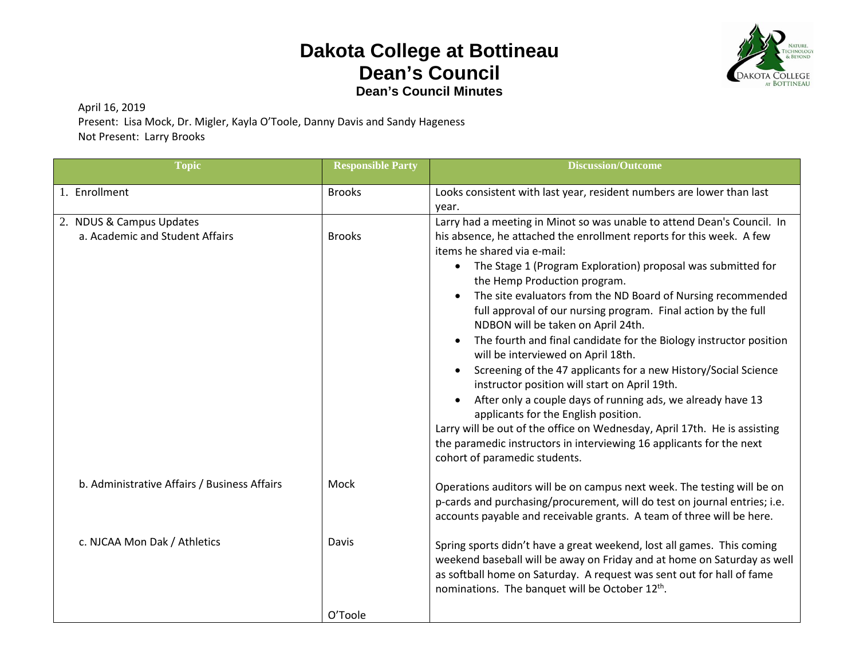## **Dakota College at Bottineau Dean's Council Dean's Council Minutes**



April 16, 2019

Present: Lisa Mock, Dr. Migler, Kayla O'Toole, Danny Davis and Sandy Hageness Not Present: Larry Brooks

| <b>Topic</b>                                                | <b>Responsible Party</b> | <b>Discussion/Outcome</b>                                                                                                                                                                                                                                                                                                                                                                                                                                                                                                                                                                                                                                                                                                                                                                                               |
|-------------------------------------------------------------|--------------------------|-------------------------------------------------------------------------------------------------------------------------------------------------------------------------------------------------------------------------------------------------------------------------------------------------------------------------------------------------------------------------------------------------------------------------------------------------------------------------------------------------------------------------------------------------------------------------------------------------------------------------------------------------------------------------------------------------------------------------------------------------------------------------------------------------------------------------|
| 1. Enrollment                                               | <b>Brooks</b>            | Looks consistent with last year, resident numbers are lower than last<br>year.                                                                                                                                                                                                                                                                                                                                                                                                                                                                                                                                                                                                                                                                                                                                          |
| 2. NDUS & Campus Updates<br>a. Academic and Student Affairs | <b>Brooks</b>            | Larry had a meeting in Minot so was unable to attend Dean's Council. In<br>his absence, he attached the enrollment reports for this week. A few<br>items he shared via e-mail:<br>The Stage 1 (Program Exploration) proposal was submitted for<br>$\bullet$<br>the Hemp Production program.<br>The site evaluators from the ND Board of Nursing recommended<br>full approval of our nursing program. Final action by the full<br>NDBON will be taken on April 24th.<br>The fourth and final candidate for the Biology instructor position<br>$\bullet$<br>will be interviewed on April 18th.<br>Screening of the 47 applicants for a new History/Social Science<br>instructor position will start on April 19th.<br>After only a couple days of running ads, we already have 13<br>applicants for the English position. |
|                                                             |                          | Larry will be out of the office on Wednesday, April 17th. He is assisting<br>the paramedic instructors in interviewing 16 applicants for the next<br>cohort of paramedic students.                                                                                                                                                                                                                                                                                                                                                                                                                                                                                                                                                                                                                                      |
| b. Administrative Affairs / Business Affairs                | Mock                     | Operations auditors will be on campus next week. The testing will be on<br>p-cards and purchasing/procurement, will do test on journal entries; i.e.<br>accounts payable and receivable grants. A team of three will be here.                                                                                                                                                                                                                                                                                                                                                                                                                                                                                                                                                                                           |
| c. NJCAA Mon Dak / Athletics                                | Davis                    | Spring sports didn't have a great weekend, lost all games. This coming<br>weekend baseball will be away on Friday and at home on Saturday as well<br>as softball home on Saturday. A request was sent out for hall of fame<br>nominations. The banquet will be October 12th.                                                                                                                                                                                                                                                                                                                                                                                                                                                                                                                                            |
|                                                             | O'Toole                  |                                                                                                                                                                                                                                                                                                                                                                                                                                                                                                                                                                                                                                                                                                                                                                                                                         |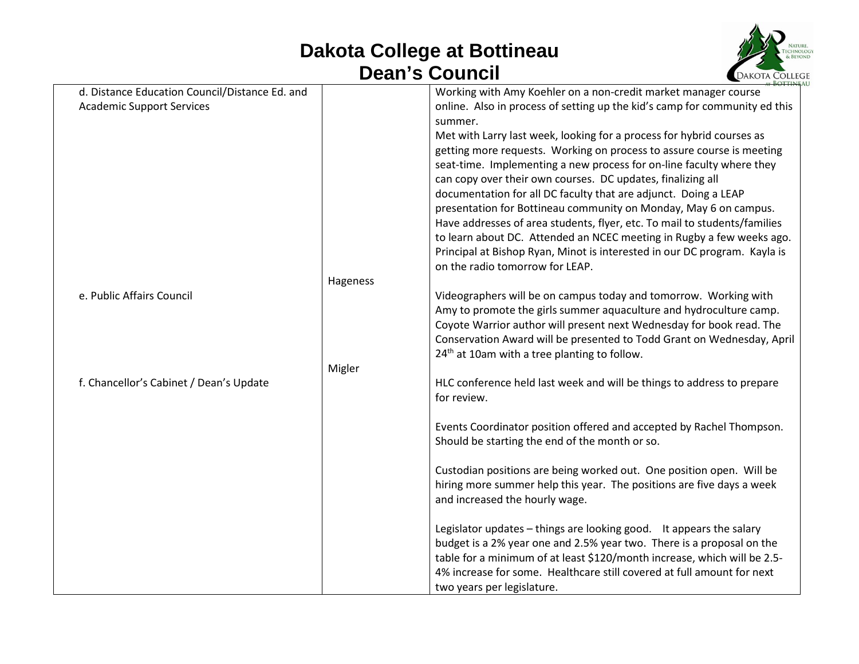## **Dakota College at Bottineau Dean's Council**



| d. Distance Education Council/Distance Ed. and |          | Working with Amy Koehler on a non-credit market manager course             |
|------------------------------------------------|----------|----------------------------------------------------------------------------|
| <b>Academic Support Services</b>               |          | online. Also in process of setting up the kid's camp for community ed this |
|                                                |          | summer.                                                                    |
|                                                |          | Met with Larry last week, looking for a process for hybrid courses as      |
|                                                |          | getting more requests. Working on process to assure course is meeting      |
|                                                |          | seat-time. Implementing a new process for on-line faculty where they       |
|                                                |          | can copy over their own courses. DC updates, finalizing all                |
|                                                |          | documentation for all DC faculty that are adjunct. Doing a LEAP            |
|                                                |          | presentation for Bottineau community on Monday, May 6 on campus.           |
|                                                |          | Have addresses of area students, flyer, etc. To mail to students/families  |
|                                                |          | to learn about DC. Attended an NCEC meeting in Rugby a few weeks ago.      |
|                                                |          | Principal at Bishop Ryan, Minot is interested in our DC program. Kayla is  |
|                                                |          | on the radio tomorrow for LEAP.                                            |
|                                                |          |                                                                            |
|                                                | Hageness |                                                                            |
| e. Public Affairs Council                      |          | Videographers will be on campus today and tomorrow. Working with           |
|                                                |          | Amy to promote the girls summer aquaculture and hydroculture camp.         |
|                                                |          | Coyote Warrior author will present next Wednesday for book read. The       |
|                                                |          | Conservation Award will be presented to Todd Grant on Wednesday, April     |
|                                                |          | 24 <sup>th</sup> at 10am with a tree planting to follow.                   |
|                                                | Migler   |                                                                            |
| f. Chancellor's Cabinet / Dean's Update        |          | HLC conference held last week and will be things to address to prepare     |
|                                                |          | for review.                                                                |
|                                                |          |                                                                            |
|                                                |          | Events Coordinator position offered and accepted by Rachel Thompson.       |
|                                                |          | Should be starting the end of the month or so.                             |
|                                                |          |                                                                            |
|                                                |          | Custodian positions are being worked out. One position open. Will be       |
|                                                |          | hiring more summer help this year. The positions are five days a week      |
|                                                |          | and increased the hourly wage.                                             |
|                                                |          |                                                                            |
|                                                |          | Legislator updates - things are looking good. It appears the salary        |
|                                                |          | budget is a 2% year one and 2.5% year two. There is a proposal on the      |
|                                                |          | table for a minimum of at least \$120/month increase, which will be 2.5-   |
|                                                |          | 4% increase for some. Healthcare still covered at full amount for next     |
|                                                |          | two years per legislature.                                                 |
|                                                |          |                                                                            |